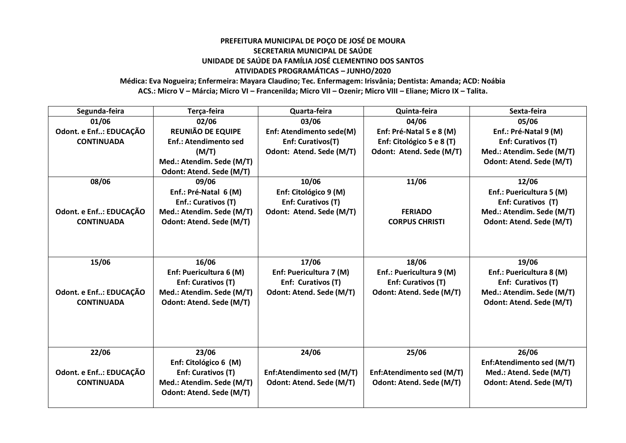## **PREFEITURA MUNICIPAL DE POÇO DE JOSÉ DE MOURA SECRETARIA MUNICIPAL DE SAÚDE UNIDADE DE SAÚDE DA FAMÍLIA JOSÉ CLEMENTINO DOS SANTOS ATIVIDADES PROGRAMÁTICAS – JUNHO/2020**

**Médica: Eva Nogueira; Enfermeira: Mayara Claudino; Tec. Enfermagem: Irisvânia; Dentista: Amanda; ACD: Noábia ACS.: Micro V – Márcia; Micro VI – Francenilda; Micro VII – Ozenir; Micro VIII – Eliane; Micro IX – Talita.**

| Segunda-feira          | Terça-feira                  | Quarta-feira              | Quinta-feira              | Sexta-feira               |
|------------------------|------------------------------|---------------------------|---------------------------|---------------------------|
| 01/06                  | 02/06                        | 03/06                     | 04/06                     | 05/06                     |
| Odont. e Enf: EDUCAÇÃO | <b>REUNIÃO DE EQUIPE</b>     | Enf: Atendimento sede(M)  | Enf: Pré-Natal 5 e 8 (M)  | Enf.: Pré-Natal 9 (M)     |
| <b>CONTINUADA</b>      | <b>Enf.: Atendimento sed</b> | Enf: Curativos(T)         | Enf: Citológico 5 e 8 (T) | Enf: Curativos (T)        |
|                        | (M/T)                        | Odont: Atend. Sede (M/T)  | Odont: Atend. Sede (M/T)  | Med.: Atendim. Sede (M/T) |
|                        | Med.: Atendim. Sede (M/T)    |                           |                           | Odont: Atend. Sede (M/T)  |
|                        | Odont: Atend. Sede (M/T)     |                           |                           |                           |
| 08/06                  | 09/06                        | 10/06                     | 11/06                     | 12/06                     |
|                        | Enf.: Pré-Natal 6 (M)        | Enf: Citológico 9 (M)     |                           | Enf.: Puericultura 5 (M)  |
|                        | Enf.: Curativos (T)          | Enf: Curativos (T)        |                           | Enf: Curativos (T)        |
| Odont. e Enf: EDUCAÇÃO | Med.: Atendim. Sede (M/T)    | Odont: Atend. Sede (M/T)  | <b>FERIADO</b>            | Med.: Atendim. Sede (M/T) |
| <b>CONTINUADA</b>      | Odont: Atend. Sede (M/T)     |                           | <b>CORPUS CHRISTI</b>     | Odont: Atend. Sede (M/T)  |
|                        |                              |                           |                           |                           |
|                        |                              |                           |                           |                           |
| 15/06                  | 16/06                        | 17/06                     | 18/06                     | 19/06                     |
|                        | Enf: Puericultura 6 (M)      | Enf: Puericultura 7 (M)   | Enf.: Puericultura 9 (M)  | Enf.: Puericultura 8 (M)  |
|                        | Enf: Curativos (T)           | Enf: Curativos (T)        | Enf: Curativos (T)        | Enf: Curativos (T)        |
| Odont. e Enf: EDUCAÇÃO | Med.: Atendim. Sede (M/T)    | Odont: Atend. Sede (M/T)  | Odont: Atend. Sede (M/T)  | Med.: Atendim. Sede (M/T) |
| <b>CONTINUADA</b>      | Odont: Atend. Sede (M/T)     |                           |                           | Odont: Atend. Sede (M/T)  |
|                        |                              |                           |                           |                           |
|                        |                              |                           |                           |                           |
|                        |                              |                           |                           |                           |
| 22/06                  | 23/06                        | 24/06                     | 25/06                     | 26/06                     |
|                        | Enf: Citológico 6 (M)        |                           |                           | Enf:Atendimento sed (M/T) |
| Odont. e Enf: EDUCAÇÃO | Enf: Curativos (T)           | Enf:Atendimento sed (M/T) | Enf:Atendimento sed (M/T) | Med.: Atend. Sede (M/T)   |
| <b>CONTINUADA</b>      | Med.: Atendim. Sede (M/T)    | Odont: Atend. Sede (M/T)  | Odont: Atend. Sede (M/T)  | Odont: Atend. Sede (M/T)  |
|                        | Odont: Atend. Sede (M/T)     |                           |                           |                           |
|                        |                              |                           |                           |                           |